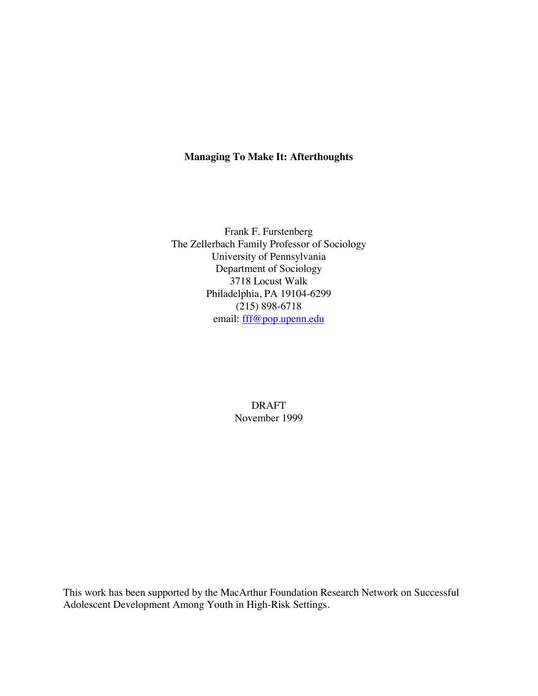# **Managing To Make It: Afterthoughts**

Frank F. Furstenberg The Zellerbach Family Professor of Sociology University of Pennsylvania Department of Sociology 3718 Locust Walk Philadelphia, PA 19104-6299 (215) 898-6718 email: fff@pop.upenn.edu

> DRAFT November 1999

This work has been supported by the MacArthur Foundation Research Network on Successful Adolescent Development Among Youth in High-Risk Settings.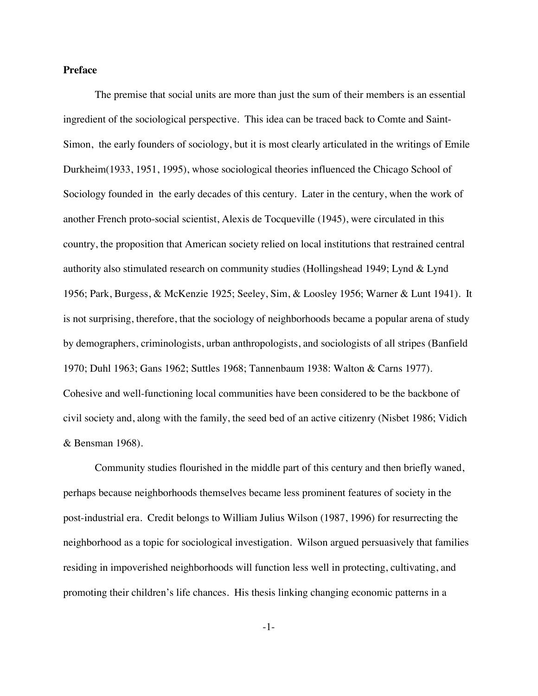## **Preface**

The premise that social units are more than just the sum of their members is an essential ingredient of the sociological perspective. This idea can be traced back to Comte and Saint-Simon, the early founders of sociology, but it is most clearly articulated in the writings of Emile Durkheim(1933, 1951, 1995), whose sociological theories influenced the Chicago School of Sociology founded in the early decades of this century. Later in the century, when the work of another French proto-social scientist, Alexis de Tocqueville (1945), were circulated in this country, the proposition that American society relied on local institutions that restrained central authority also stimulated research on community studies (Hollingshead 1949; Lynd & Lynd 1956; Park, Burgess, & McKenzie 1925; Seeley, Sim, & Loosley 1956; Warner & Lunt 1941). It is not surprising, therefore, that the sociology of neighborhoods became a popular arena of study by demographers, criminologists, urban anthropologists, and sociologists of all stripes (Banfield 1970; Duhl 1963; Gans 1962; Suttles 1968; Tannenbaum 1938: Walton & Carns 1977). Cohesive and well-functioning local communities have been considered to be the backbone of civil society and, along with the family, the seed bed of an active citizenry (Nisbet 1986; Vidich & Bensman 1968).

Community studies flourished in the middle part of this century and then briefly waned, perhaps because neighborhoods themselves became less prominent features of society in the post-industrial era. Credit belongs to William Julius Wilson (1987, 1996) for resurrecting the neighborhood as a topic for sociological investigation. Wilson argued persuasively that families residing in impoverished neighborhoods will function less well in protecting, cultivating, and promoting their children's life chances. His thesis linking changing economic patterns in a

-1-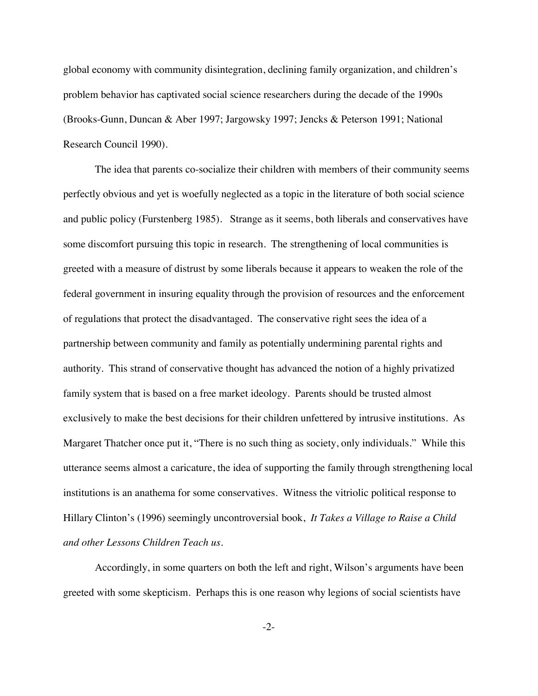global economy with community disintegration, declining family organization, and children's problem behavior has captivated social science researchers during the decade of the 1990s (Brooks-Gunn, Duncan & Aber 1997; Jargowsky 1997; Jencks & Peterson 1991; National Research Council 1990).

The idea that parents co-socialize their children with members of their community seems perfectly obvious and yet is woefully neglected as a topic in the literature of both social science and public policy (Furstenberg 1985). Strange as it seems, both liberals and conservatives have some discomfort pursuing this topic in research. The strengthening of local communities is greeted with a measure of distrust by some liberals because it appears to weaken the role of the federal government in insuring equality through the provision of resources and the enforcement of regulations that protect the disadvantaged. The conservative right sees the idea of a partnership between community and family as potentially undermining parental rights and authority. This strand of conservative thought has advanced the notion of a highly privatized family system that is based on a free market ideology. Parents should be trusted almost exclusively to make the best decisions for their children unfettered by intrusive institutions. As Margaret Thatcher once put it, "There is no such thing as society, only individuals." While this utterance seems almost a caricature, the idea of supporting the family through strengthening local institutions is an anathema for some conservatives. Witness the vitriolic political response to Hillary Clinton's (1996) seemingly uncontroversial book, *It Takes a Village to Raise a Child and other Lessons Children Teach us.*

Accordingly, in some quarters on both the left and right, Wilson's arguments have been greeted with some skepticism. Perhaps this is one reason why legions of social scientists have

-2-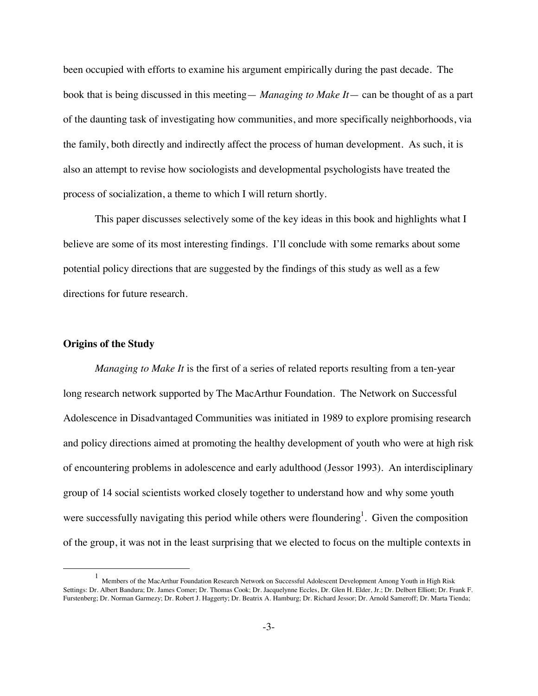been occupied with efforts to examine his argument empirically during the past decade. The book that is being discussed in this meeting— *Managing to Make It*— can be thought of as a part of the daunting task of investigating how communities, and more specifically neighborhoods, via the family, both directly and indirectly affect the process of human development. As such, it is also an attempt to revise how sociologists and developmental psychologists have treated the process of socialization, a theme to which I will return shortly.

This paper discusses selectively some of the key ideas in this book and highlights what I believe are some of its most interesting findings. I'll conclude with some remarks about some potential policy directions that are suggested by the findings of this study as well as a few directions for future research.

### **Origins of the Study**

*Managing to Make It* is the first of a series of related reports resulting from a ten-year long research network supported by The MacArthur Foundation. The Network on Successful Adolescence in Disadvantaged Communities was initiated in 1989 to explore promising research and policy directions aimed at promoting the healthy development of youth who were at high risk of encountering problems in adolescence and early adulthood (Jessor 1993). An interdisciplinary group of 14 social scientists worked closely together to understand how and why some youth were successfully navigating this period while others were floundering<sup>1</sup>. Given the composition of the group, it was not in the least surprising that we elected to focus on the multiple contexts in

<sup>1&</sup>lt;sup>1</sup> <sup>1</sup> Members of the MacArthur Foundation Research Network on Successful Adolescent Development Among Youth in High Risk Settings: Dr. Albert Bandura; Dr. James Comer; Dr. Thomas Cook; Dr. Jacquelynne Eccles, Dr. Glen H. Elder, Jr.; Dr. Delbert Elliott; Dr. Frank F. Furstenberg; Dr. Norman Garmezy; Dr. Robert J. Haggerty; Dr. Beatrix A. Hamburg; Dr. Richard Jessor; Dr. Arnold Sameroff; Dr. Marta Tienda;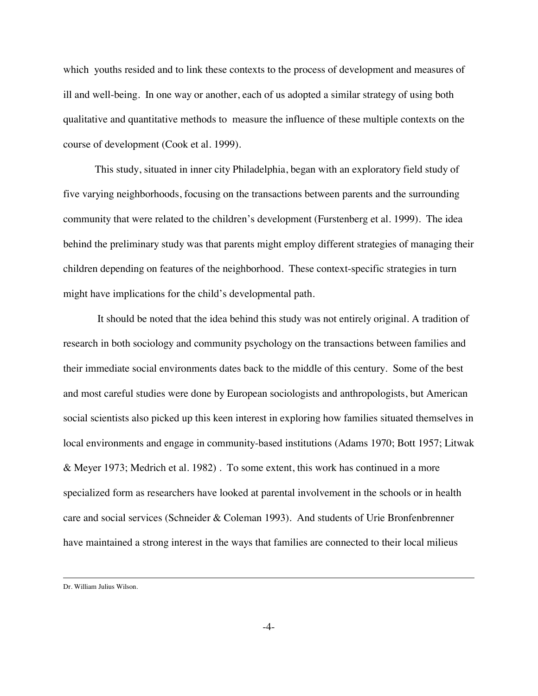which youths resided and to link these contexts to the process of development and measures of ill and well-being. In one way or another, each of us adopted a similar strategy of using both qualitative and quantitative methods to measure the influence of these multiple contexts on the course of development (Cook et al. 1999).

This study, situated in inner city Philadelphia, began with an exploratory field study of five varying neighborhoods, focusing on the transactions between parents and the surrounding community that were related to the children's development (Furstenberg et al. 1999). The idea behind the preliminary study was that parents might employ different strategies of managing their children depending on features of the neighborhood. These context-specific strategies in turn might have implications for the child's developmental path.

 It should be noted that the idea behind this study was not entirely original. A tradition of research in both sociology and community psychology on the transactions between families and their immediate social environments dates back to the middle of this century. Some of the best and most careful studies were done by European sociologists and anthropologists, but American social scientists also picked up this keen interest in exploring how families situated themselves in local environments and engage in community-based institutions (Adams 1970; Bott 1957; Litwak & Meyer 1973; Medrich et al. 1982) . To some extent, this work has continued in a more specialized form as researchers have looked at parental involvement in the schools or in health care and social services (Schneider & Coleman 1993). And students of Urie Bronfenbrenner have maintained a strong interest in the ways that families are connected to their local milieus

Dr. William Julius Wilson.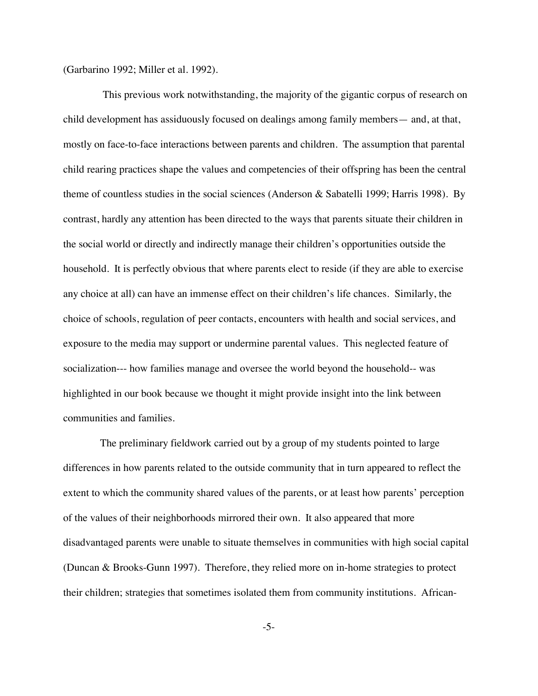(Garbarino 1992; Miller et al. 1992).

 This previous work notwithstanding, the majority of the gigantic corpus of research on child development has assiduously focused on dealings among family members— and, at that, mostly on face-to-face interactions between parents and children. The assumption that parental child rearing practices shape the values and competencies of their offspring has been the central theme of countless studies in the social sciences (Anderson & Sabatelli 1999; Harris 1998). By contrast, hardly any attention has been directed to the ways that parents situate their children in the social world or directly and indirectly manage their children's opportunities outside the household. It is perfectly obvious that where parents elect to reside (if they are able to exercise any choice at all) can have an immense effect on their children's life chances. Similarly, the choice of schools, regulation of peer contacts, encounters with health and social services, and exposure to the media may support or undermine parental values. This neglected feature of socialization--- how families manage and oversee the world beyond the household-- was highlighted in our book because we thought it might provide insight into the link between communities and families.

 The preliminary fieldwork carried out by a group of my students pointed to large differences in how parents related to the outside community that in turn appeared to reflect the extent to which the community shared values of the parents, or at least how parents' perception of the values of their neighborhoods mirrored their own. It also appeared that more disadvantaged parents were unable to situate themselves in communities with high social capital (Duncan & Brooks-Gunn 1997). Therefore, they relied more on in-home strategies to protect their children; strategies that sometimes isolated them from community institutions. African-

-5-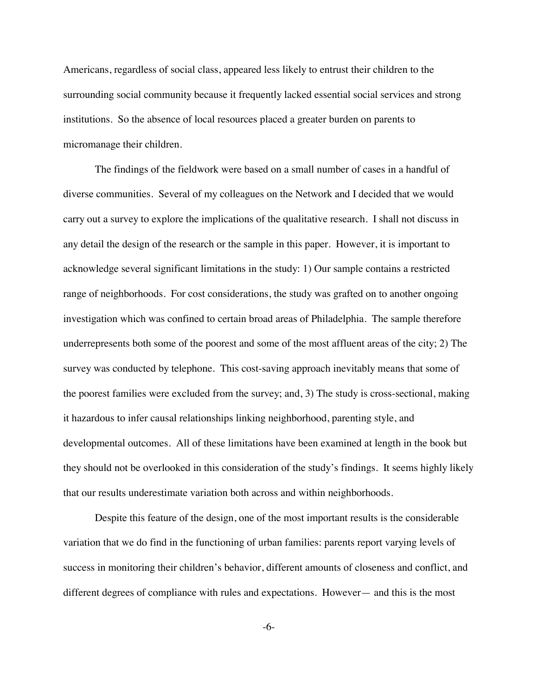Americans, regardless of social class, appeared less likely to entrust their children to the surrounding social community because it frequently lacked essential social services and strong institutions. So the absence of local resources placed a greater burden on parents to micromanage their children.

The findings of the fieldwork were based on a small number of cases in a handful of diverse communities. Several of my colleagues on the Network and I decided that we would carry out a survey to explore the implications of the qualitative research. I shall not discuss in any detail the design of the research or the sample in this paper. However, it is important to acknowledge several significant limitations in the study: 1) Our sample contains a restricted range of neighborhoods. For cost considerations, the study was grafted on to another ongoing investigation which was confined to certain broad areas of Philadelphia. The sample therefore underrepresents both some of the poorest and some of the most affluent areas of the city; 2) The survey was conducted by telephone. This cost-saving approach inevitably means that some of the poorest families were excluded from the survey; and, 3) The study is cross-sectional, making it hazardous to infer causal relationships linking neighborhood, parenting style, and developmental outcomes. All of these limitations have been examined at length in the book but they should not be overlooked in this consideration of the study's findings. It seems highly likely that our results underestimate variation both across and within neighborhoods.

Despite this feature of the design, one of the most important results is the considerable variation that we do find in the functioning of urban families: parents report varying levels of success in monitoring their children's behavior, different amounts of closeness and conflict, and different degrees of compliance with rules and expectations. However— and this is the most

-6-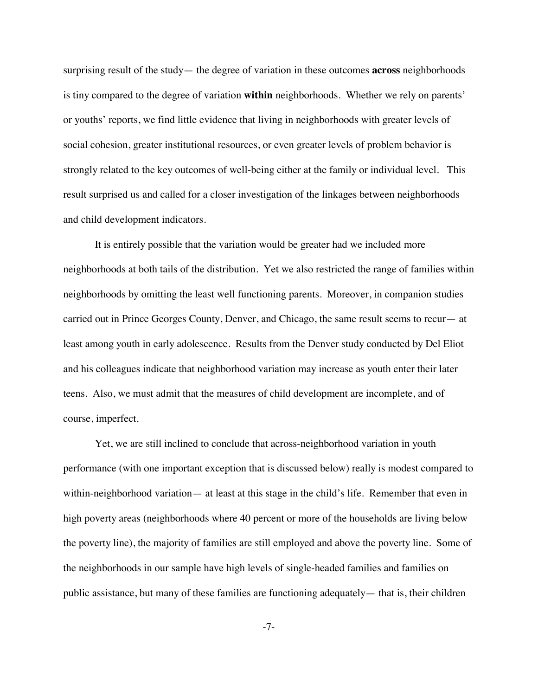surprising result of the study— the degree of variation in these outcomes **across** neighborhoods is tiny compared to the degree of variation **within** neighborhoods. Whether we rely on parents' or youths' reports, we find little evidence that living in neighborhoods with greater levels of social cohesion, greater institutional resources, or even greater levels of problem behavior is strongly related to the key outcomes of well-being either at the family or individual level. This result surprised us and called for a closer investigation of the linkages between neighborhoods and child development indicators.

It is entirely possible that the variation would be greater had we included more neighborhoods at both tails of the distribution. Yet we also restricted the range of families within neighborhoods by omitting the least well functioning parents. Moreover, in companion studies carried out in Prince Georges County, Denver, and Chicago, the same result seems to recur— at least among youth in early adolescence. Results from the Denver study conducted by Del Eliot and his colleagues indicate that neighborhood variation may increase as youth enter their later teens. Also, we must admit that the measures of child development are incomplete, and of course, imperfect.

Yet, we are still inclined to conclude that across-neighborhood variation in youth performance (with one important exception that is discussed below) really is modest compared to within-neighborhood variation— at least at this stage in the child's life. Remember that even in high poverty areas (neighborhoods where 40 percent or more of the households are living below the poverty line), the majority of families are still employed and above the poverty line. Some of the neighborhoods in our sample have high levels of single-headed families and families on public assistance, but many of these families are functioning adequately— that is, their children

-7-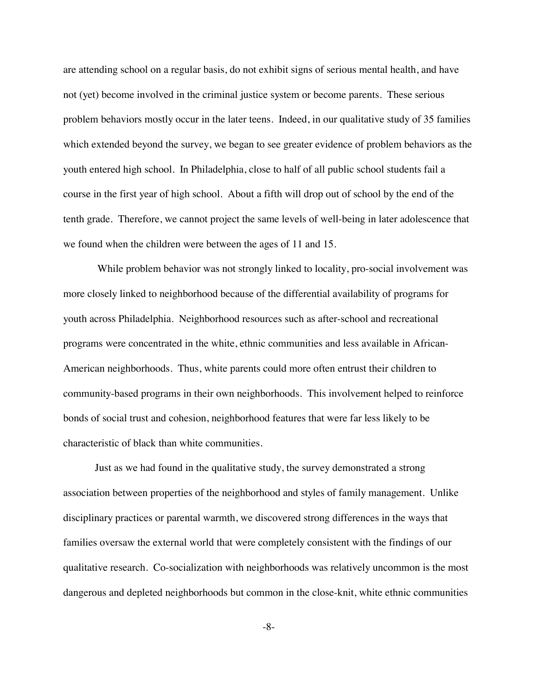are attending school on a regular basis, do not exhibit signs of serious mental health, and have not (yet) become involved in the criminal justice system or become parents. These serious problem behaviors mostly occur in the later teens. Indeed, in our qualitative study of 35 families which extended beyond the survey, we began to see greater evidence of problem behaviors as the youth entered high school. In Philadelphia, close to half of all public school students fail a course in the first year of high school. About a fifth will drop out of school by the end of the tenth grade. Therefore, we cannot project the same levels of well-being in later adolescence that we found when the children were between the ages of 11 and 15.

 While problem behavior was not strongly linked to locality, pro-social involvement was more closely linked to neighborhood because of the differential availability of programs for youth across Philadelphia. Neighborhood resources such as after-school and recreational programs were concentrated in the white, ethnic communities and less available in African-American neighborhoods. Thus, white parents could more often entrust their children to community-based programs in their own neighborhoods. This involvement helped to reinforce bonds of social trust and cohesion, neighborhood features that were far less likely to be characteristic of black than white communities.

Just as we had found in the qualitative study, the survey demonstrated a strong association between properties of the neighborhood and styles of family management. Unlike disciplinary practices or parental warmth, we discovered strong differences in the ways that families oversaw the external world that were completely consistent with the findings of our qualitative research. Co-socialization with neighborhoods was relatively uncommon is the most dangerous and depleted neighborhoods but common in the close-knit, white ethnic communities

-8-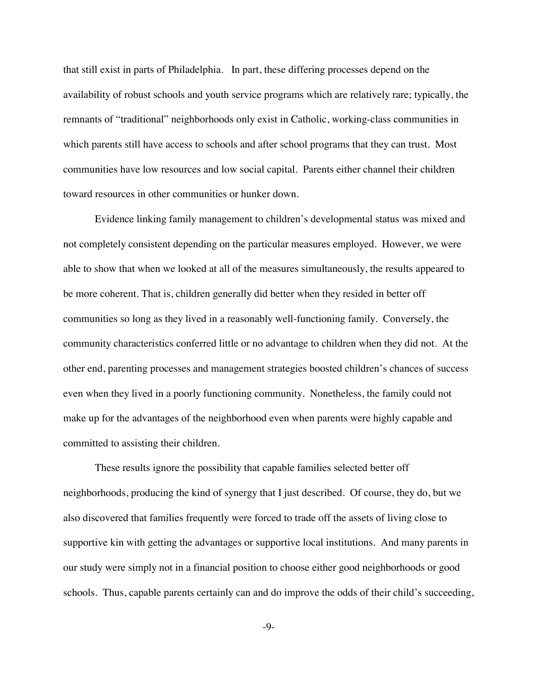that still exist in parts of Philadelphia. In part, these differing processes depend on the availability of robust schools and youth service programs which are relatively rare; typically, the remnants of "traditional" neighborhoods only exist in Catholic, working-class communities in which parents still have access to schools and after school programs that they can trust. Most communities have low resources and low social capital. Parents either channel their children toward resources in other communities or hunker down.

Evidence linking family management to children's developmental status was mixed and not completely consistent depending on the particular measures employed. However, we were able to show that when we looked at all of the measures simultaneously, the results appeared to be more coherent. That is, children generally did better when they resided in better off communities so long as they lived in a reasonably well-functioning family. Conversely, the community characteristics conferred little or no advantage to children when they did not. At the other end, parenting processes and management strategies boosted children's chances of success even when they lived in a poorly functioning community. Nonetheless, the family could not make up for the advantages of the neighborhood even when parents were highly capable and committed to assisting their children.

These results ignore the possibility that capable families selected better off neighborhoods, producing the kind of synergy that I just described. Of course, they do, but we also discovered that families frequently were forced to trade off the assets of living close to supportive kin with getting the advantages or supportive local institutions. And many parents in our study were simply not in a financial position to choose either good neighborhoods or good schools. Thus, capable parents certainly can and do improve the odds of their child's succeeding,

-9-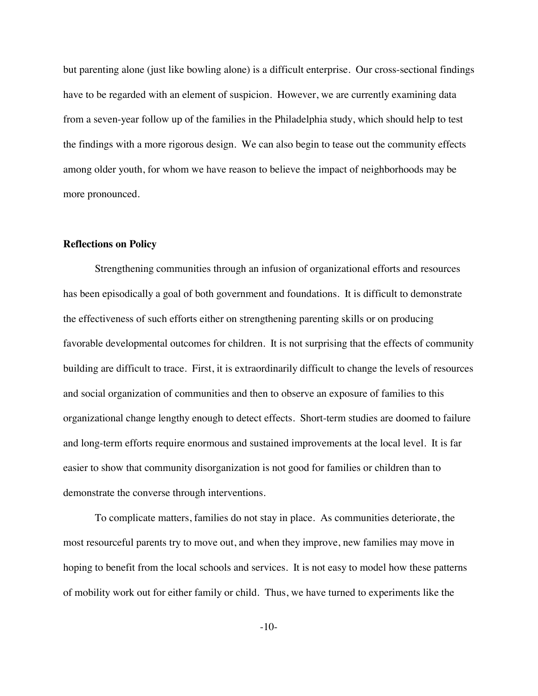but parenting alone (just like bowling alone) is a difficult enterprise. Our cross-sectional findings have to be regarded with an element of suspicion. However, we are currently examining data from a seven-year follow up of the families in the Philadelphia study, which should help to test the findings with a more rigorous design. We can also begin to tease out the community effects among older youth, for whom we have reason to believe the impact of neighborhoods may be more pronounced.

## **Reflections on Policy**

Strengthening communities through an infusion of organizational efforts and resources has been episodically a goal of both government and foundations. It is difficult to demonstrate the effectiveness of such efforts either on strengthening parenting skills or on producing favorable developmental outcomes for children. It is not surprising that the effects of community building are difficult to trace. First, it is extraordinarily difficult to change the levels of resources and social organization of communities and then to observe an exposure of families to this organizational change lengthy enough to detect effects. Short-term studies are doomed to failure and long-term efforts require enormous and sustained improvements at the local level. It is far easier to show that community disorganization is not good for families or children than to demonstrate the converse through interventions.

To complicate matters, families do not stay in place. As communities deteriorate, the most resourceful parents try to move out, and when they improve, new families may move in hoping to benefit from the local schools and services. It is not easy to model how these patterns of mobility work out for either family or child. Thus, we have turned to experiments like the

-10-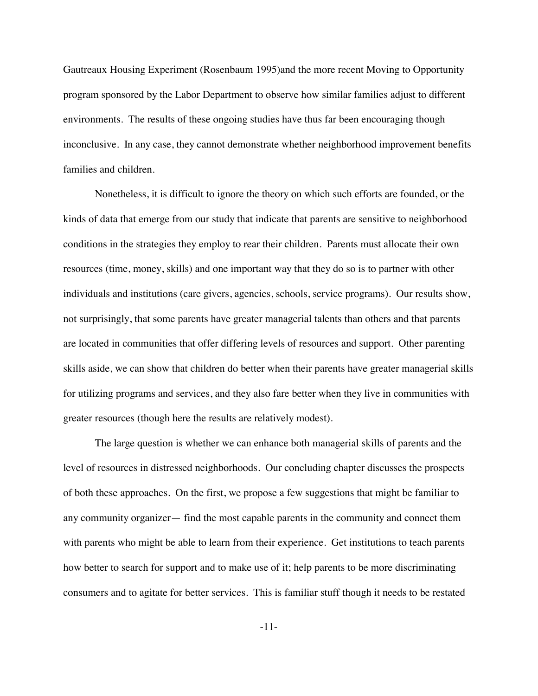Gautreaux Housing Experiment (Rosenbaum 1995)and the more recent Moving to Opportunity program sponsored by the Labor Department to observe how similar families adjust to different environments. The results of these ongoing studies have thus far been encouraging though inconclusive. In any case, they cannot demonstrate whether neighborhood improvement benefits families and children.

Nonetheless, it is difficult to ignore the theory on which such efforts are founded, or the kinds of data that emerge from our study that indicate that parents are sensitive to neighborhood conditions in the strategies they employ to rear their children. Parents must allocate their own resources (time, money, skills) and one important way that they do so is to partner with other individuals and institutions (care givers, agencies, schools, service programs). Our results show, not surprisingly, that some parents have greater managerial talents than others and that parents are located in communities that offer differing levels of resources and support. Other parenting skills aside, we can show that children do better when their parents have greater managerial skills for utilizing programs and services, and they also fare better when they live in communities with greater resources (though here the results are relatively modest).

The large question is whether we can enhance both managerial skills of parents and the level of resources in distressed neighborhoods. Our concluding chapter discusses the prospects of both these approaches. On the first, we propose a few suggestions that might be familiar to any community organizer— find the most capable parents in the community and connect them with parents who might be able to learn from their experience. Get institutions to teach parents how better to search for support and to make use of it; help parents to be more discriminating consumers and to agitate for better services. This is familiar stuff though it needs to be restated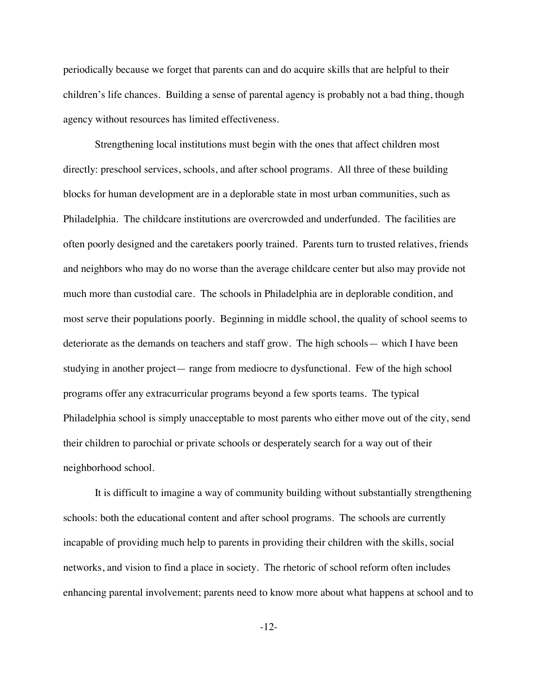periodically because we forget that parents can and do acquire skills that are helpful to their children's life chances. Building a sense of parental agency is probably not a bad thing, though agency without resources has limited effectiveness.

Strengthening local institutions must begin with the ones that affect children most directly: preschool services, schools, and after school programs. All three of these building blocks for human development are in a deplorable state in most urban communities, such as Philadelphia. The childcare institutions are overcrowded and underfunded. The facilities are often poorly designed and the caretakers poorly trained. Parents turn to trusted relatives, friends and neighbors who may do no worse than the average childcare center but also may provide not much more than custodial care. The schools in Philadelphia are in deplorable condition, and most serve their populations poorly. Beginning in middle school, the quality of school seems to deteriorate as the demands on teachers and staff grow. The high schools— which I have been studying in another project— range from mediocre to dysfunctional. Few of the high school programs offer any extracurricular programs beyond a few sports teams. The typical Philadelphia school is simply unacceptable to most parents who either move out of the city, send their children to parochial or private schools or desperately search for a way out of their neighborhood school.

It is difficult to imagine a way of community building without substantially strengthening schools: both the educational content and after school programs. The schools are currently incapable of providing much help to parents in providing their children with the skills, social networks, and vision to find a place in society. The rhetoric of school reform often includes enhancing parental involvement; parents need to know more about what happens at school and to

-12-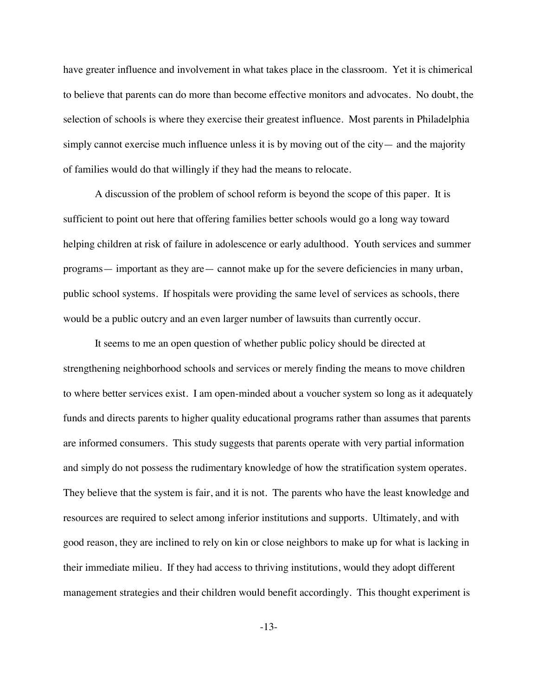have greater influence and involvement in what takes place in the classroom. Yet it is chimerical to believe that parents can do more than become effective monitors and advocates. No doubt, the selection of schools is where they exercise their greatest influence. Most parents in Philadelphia simply cannot exercise much influence unless it is by moving out of the city— and the majority of families would do that willingly if they had the means to relocate.

A discussion of the problem of school reform is beyond the scope of this paper. It is sufficient to point out here that offering families better schools would go a long way toward helping children at risk of failure in adolescence or early adulthood. Youth services and summer programs— important as they are— cannot make up for the severe deficiencies in many urban, public school systems. If hospitals were providing the same level of services as schools, there would be a public outcry and an even larger number of lawsuits than currently occur.

It seems to me an open question of whether public policy should be directed at strengthening neighborhood schools and services or merely finding the means to move children to where better services exist. I am open-minded about a voucher system so long as it adequately funds and directs parents to higher quality educational programs rather than assumes that parents are informed consumers. This study suggests that parents operate with very partial information and simply do not possess the rudimentary knowledge of how the stratification system operates. They believe that the system is fair, and it is not. The parents who have the least knowledge and resources are required to select among inferior institutions and supports. Ultimately, and with good reason, they are inclined to rely on kin or close neighbors to make up for what is lacking in their immediate milieu. If they had access to thriving institutions, would they adopt different management strategies and their children would benefit accordingly. This thought experiment is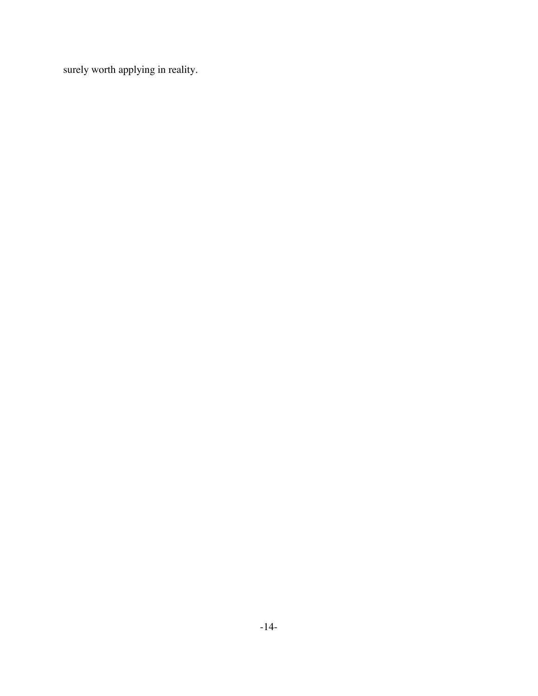surely worth applying in reality.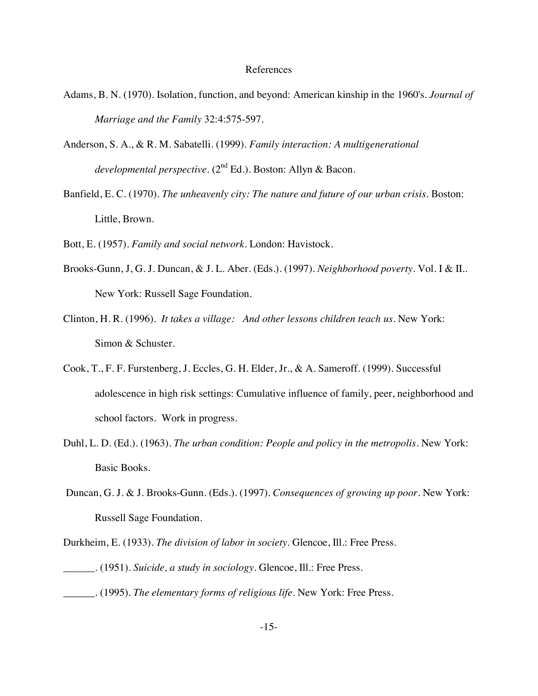#### References

- Adams, B. N. (1970). Isolation, function, and beyond: American kinship in the 1960's. *Journal of Marriage and the Family* 32:4:575-597.
- Anderson, S. A., & R. M. Sabatelli. (1999). *Family interaction: A multigenerational developmental perspective*. (2nd Ed.). Boston: Allyn & Bacon.
- Banfield, E. C. (1970). *The unheavenly city: The nature and future of our urban crisis.* Boston: Little, Brown.

Bott, E. (1957). *Family and social network.* London: Havistock.

- Brooks-Gunn, J, G. J. Duncan, & J. L. Aber. (Eds.). (1997). *Neighborhood poverty*. Vol. I & II.. New York: Russell Sage Foundation.
- Clinton, H. R. (1996). *It takes a village: And other lessons children teach us.* New York: Simon & Schuster.
- Cook, T., F. F. Furstenberg, J. Eccles, G. H. Elder, Jr., & A. Sameroff. (1999). Successful adolescence in high risk settings: Cumulative influence of family, peer, neighborhood and school factors. Work in progress.
- Duhl, L. D. (Ed.). (1963). *The urban condition: People and policy in the metropolis.* New York: Basic Books.
- Duncan, G. J. & J. Brooks-Gunn. (Eds.). (1997). *Consequences of growing up poor.* New York: Russell Sage Foundation.
- Durkheim, E. (1933). *The division of labor in society.* Glencoe, Ill.: Free Press.
- \_\_\_\_\_\_. (1951). *Suicide, a study in sociology.* Glencoe, Ill.: Free Press.
- \_\_\_\_\_\_. (1995). *The elementary forms of religious life.* New York: Free Press.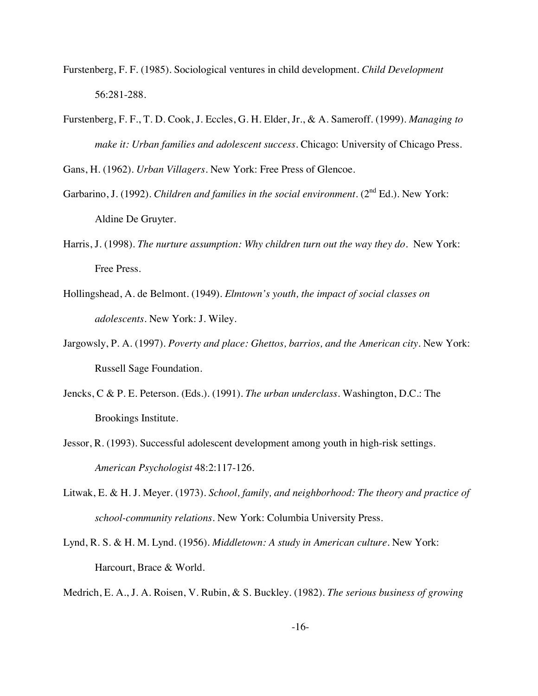- Furstenberg, F. F. (1985). Sociological ventures in child development. *Child Development* 56:281-288.
- Furstenberg, F. F., T. D. Cook, J. Eccles, G. H. Elder, Jr., & A. Sameroff. (1999). *Managing to make it: Urban families and adolescent success.* Chicago: University of Chicago Press.

Gans, H. (1962). *Urban Villagers.* New York: Free Press of Glencoe.

- Garbarino, J. (1992). *Children and families in the social environment*. (2<sup>nd</sup> Ed.). New York: Aldine De Gruyter.
- Harris, J. (1998). *The nurture assumption: Why children turn out the way they do.* New York: Free Press.
- Hollingshead, A. de Belmont. (1949). *Elmtown's youth, the impact of social classes on adolescents.* New York: J. Wiley.
- Jargowsly, P. A. (1997). *Poverty and place: Ghettos, barrios, and the American city.* New York: Russell Sage Foundation.
- Jencks, C & P. E. Peterson. (Eds.). (1991). *The urban underclass.* Washington, D.C.: The Brookings Institute.
- Jessor, R. (1993). Successful adolescent development among youth in high-risk settings. *American Psychologist* 48:2:117-126.
- Litwak, E. & H. J. Meyer. (1973). *School, family, and neighborhood: The theory and practice of school-community relations.* New York: Columbia University Press.
- Lynd, R. S. & H. M. Lynd. (1956). *Middletown: A study in American culture.* New York: Harcourt, Brace & World.

Medrich, E. A., J. A. Roisen, V. Rubin, & S. Buckley. (1982). *The serious business of growing*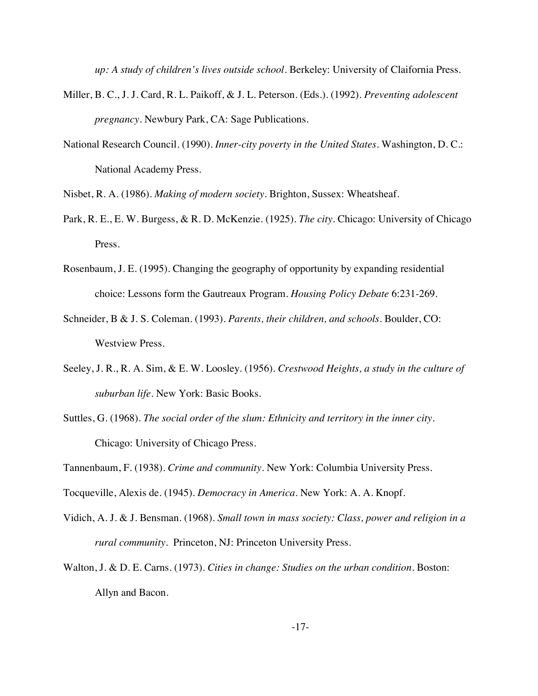*up: A study of children's lives outside school.* Berkeley: University of Claifornia Press.

- Miller, B. C., J. J. Card, R. L. Paikoff, & J. L. Peterson. (Eds.). (1992). *Preventing adolescent pregnancy.* Newbury Park, CA: Sage Publications.
- National Research Council. (1990). *Inner-city poverty in the United States.* Washington, D. C.: National Academy Press.

Nisbet, R. A. (1986). *Making of modern society.* Brighton, Sussex: Wheatsheaf.

- Park, R. E., E. W. Burgess, & R. D. McKenzie. (1925). *The city*. Chicago: University of Chicago Press.
- Rosenbaum, J. E. (1995). Changing the geography of opportunity by expanding residential choice: Lessons form the Gautreaux Program. *Housing Policy Debate* 6:231-269.
- Schneider, B & J. S. Coleman. (1993). *Parents, their children, and schools.* Boulder, CO: Westview Press.
- Seeley, J. R., R. A. Sim, & E. W. Loosley. (1956). *Crestwood Heights, a study in the culture of suburban life.* New York: Basic Books.
- Suttles, G. (1968). *The social order of the slum: Ethnicity and territory in the inner city.* Chicago: University of Chicago Press.

- Tocqueville, Alexis de. (1945). *Democracy in America.* New York: A. A. Knopf.
- Vidich, A. J. & J. Bensman. (1968). *Small town in mass society: Class, power and religion in a rural community.* Princeton, NJ: Princeton University Press.
- Walton, J. & D. E. Carns. (1973). *Cities in change: Studies on the urban condition.* Boston: Allyn and Bacon.

Tannenbaum, F. (1938). *Crime and community.* New York: Columbia University Press.